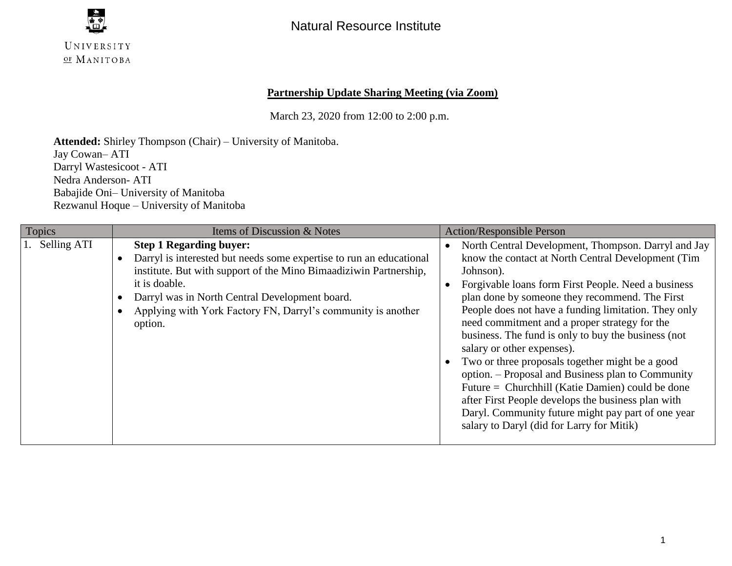

### **Partnership Update Sharing Meeting (via Zoom)**

March 23, 2020 from 12:00 to 2:00 p.m.

**Attended:** Shirley Thompson (Chair) – University of Manitoba. Jay Cowan– ATI Darryl Wastesicoot - ATI Nedra Anderson- ATI Babajide Oni– University of Manitoba Rezwanul Hoque – University of Manitoba

| <b>Topics</b>  | Items of Discussion & Notes                                                                                                                                                                                                                                                                                              | <b>Action/Responsible Person</b>                                                                                                                                                                                                                                                                                                                                                                                                                                                                                                                                                                                                                                                                                                                   |  |
|----------------|--------------------------------------------------------------------------------------------------------------------------------------------------------------------------------------------------------------------------------------------------------------------------------------------------------------------------|----------------------------------------------------------------------------------------------------------------------------------------------------------------------------------------------------------------------------------------------------------------------------------------------------------------------------------------------------------------------------------------------------------------------------------------------------------------------------------------------------------------------------------------------------------------------------------------------------------------------------------------------------------------------------------------------------------------------------------------------------|--|
| 1. Selling ATI | <b>Step 1 Regarding buyer:</b><br>Darryl is interested but needs some expertise to run an educational<br>institute. But with support of the Mino Bimaadiziwin Partnership,<br>it is doable.<br>Darryl was in North Central Development board.<br>Applying with York Factory FN, Darryl's community is another<br>option. | North Central Development, Thompson. Darryl and Jay<br>know the contact at North Central Development (Tim<br>Johnson).<br>Forgivable loans form First People. Need a business<br>plan done by someone they recommend. The First<br>People does not have a funding limitation. They only<br>need commitment and a proper strategy for the<br>business. The fund is only to buy the business (not<br>salary or other expenses).<br>Two or three proposals together might be a good<br>option. – Proposal and Business plan to Community<br>Future = Churchhill (Katie Damien) could be done<br>after First People develops the business plan with<br>Daryl. Community future might pay part of one year<br>salary to Daryl (did for Larry for Mitik) |  |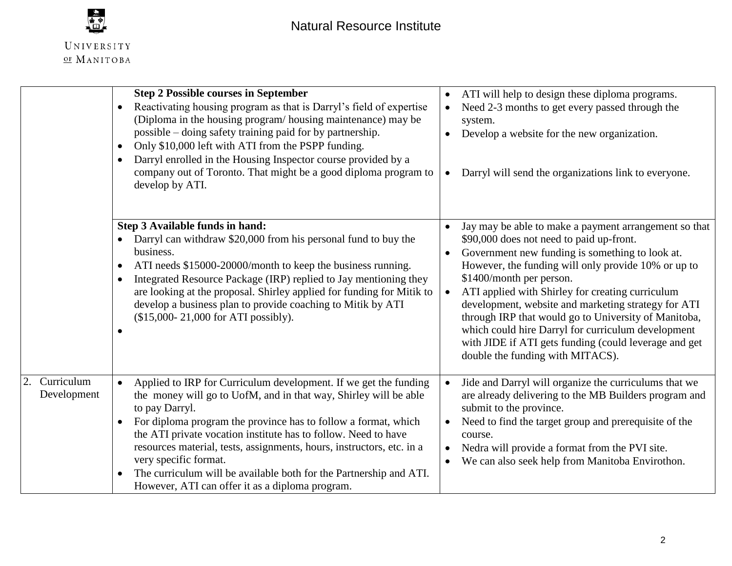

 $\overline{2}$ .

|                           | <b>Step 2 Possible courses in September</b><br>Reactivating housing program as that is Darryl's field of expertise<br>$\bullet$<br>(Diploma in the housing program/housing maintenance) may be<br>possible – doing safety training paid for by partnership.<br>Only \$10,000 left with ATI from the PSPP funding.<br>$\bullet$<br>Darryl enrolled in the Housing Inspector course provided by a<br>$\bullet$<br>company out of Toronto. That might be a good diploma program to<br>develop by ATI.                                              | ATI will help to design these diploma programs.<br>$\bullet$<br>Need 2-3 months to get every passed through the<br>system.<br>Develop a website for the new organization.<br>Darryl will send the organizations link to everyone.<br>$\bullet$                                                                                                                                                                                                                                                                                                                             |
|---------------------------|-------------------------------------------------------------------------------------------------------------------------------------------------------------------------------------------------------------------------------------------------------------------------------------------------------------------------------------------------------------------------------------------------------------------------------------------------------------------------------------------------------------------------------------------------|----------------------------------------------------------------------------------------------------------------------------------------------------------------------------------------------------------------------------------------------------------------------------------------------------------------------------------------------------------------------------------------------------------------------------------------------------------------------------------------------------------------------------------------------------------------------------|
|                           | Step 3 Available funds in hand:<br>Darryl can withdraw \$20,000 from his personal fund to buy the<br>business.<br>ATI needs \$15000-20000/month to keep the business running.<br>$\bullet$<br>Integrated Resource Package (IRP) replied to Jay mentioning they<br>$\bullet$<br>are looking at the proposal. Shirley applied for funding for Mitik to<br>develop a business plan to provide coaching to Mitik by ATI<br>(\$15,000-21,000 for ATI possibly).                                                                                      | Jay may be able to make a payment arrangement so that<br>\$90,000 does not need to paid up-front.<br>Government new funding is something to look at.<br>However, the funding will only provide 10% or up to<br>\$1400/month per person.<br>ATI applied with Shirley for creating curriculum<br>$\bullet$<br>development, website and marketing strategy for ATI<br>through IRP that would go to University of Manitoba,<br>which could hire Darryl for curriculum development<br>with JIDE if ATI gets funding (could leverage and get<br>double the funding with MITACS). |
| Curriculum<br>Development | Applied to IRP for Curriculum development. If we get the funding<br>$\bullet$<br>the money will go to UofM, and in that way, Shirley will be able<br>to pay Darryl.<br>For diploma program the province has to follow a format, which<br>$\bullet$<br>the ATI private vocation institute has to follow. Need to have<br>resources material, tests, assignments, hours, instructors, etc. in a<br>very specific format.<br>The curriculum will be available both for the Partnership and ATI.<br>However, ATI can offer it as a diploma program. | Jide and Darryl will organize the curriculums that we<br>are already delivering to the MB Builders program and<br>submit to the province.<br>Need to find the target group and prerequisite of the<br>course.<br>Nedra will provide a format from the PVI site.<br>We can also seek help from Manitoba Envirothon.<br>$\bullet$                                                                                                                                                                                                                                            |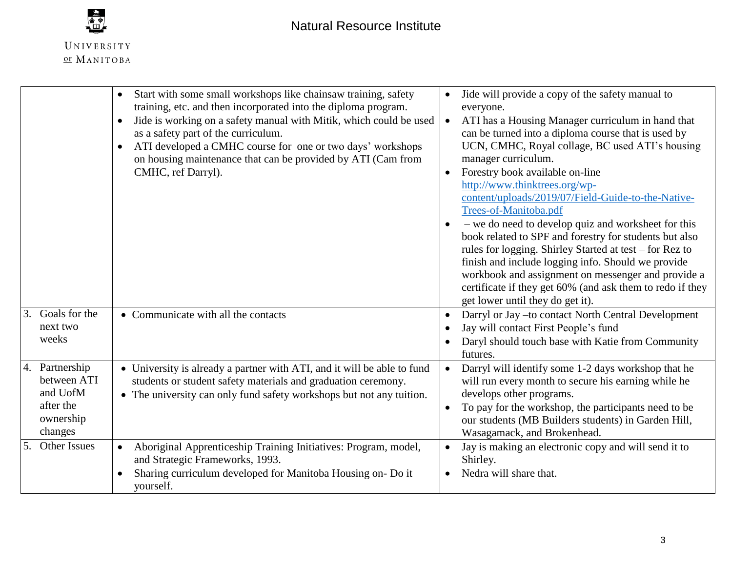

|                                                                                | Start with some small workshops like chainsaw training, safety<br>$\bullet$<br>training, etc. and then incorporated into the diploma program.<br>Jide is working on a safety manual with Mitik, which could be used<br>$\bullet$<br>as a safety part of the curriculum.<br>ATI developed a CMHC course for one or two days' workshops<br>$\bullet$<br>on housing maintenance that can be provided by ATI (Cam from<br>CMHC, ref Darryl). | Jide will provide a copy of the safety manual to<br>everyone.<br>ATI has a Housing Manager curriculum in hand that<br>$\bullet$<br>can be turned into a diploma course that is used by<br>UCN, CMHC, Royal collage, BC used ATI's housing<br>manager curriculum.<br>Forestry book available on-line<br>http://www.thinktrees.org/wp-<br>content/uploads/2019/07/Field-Guide-to-the-Native-<br>Trees-of-Manitoba.pdf<br>- we do need to develop quiz and worksheet for this<br>book related to SPF and forestry for students but also<br>rules for logging. Shirley Started at test – for Rez to<br>finish and include logging info. Should we provide<br>workbook and assignment on messenger and provide a<br>certificate if they get 60% (and ask them to redo if they<br>get lower until they do get it). |
|--------------------------------------------------------------------------------|------------------------------------------------------------------------------------------------------------------------------------------------------------------------------------------------------------------------------------------------------------------------------------------------------------------------------------------------------------------------------------------------------------------------------------------|--------------------------------------------------------------------------------------------------------------------------------------------------------------------------------------------------------------------------------------------------------------------------------------------------------------------------------------------------------------------------------------------------------------------------------------------------------------------------------------------------------------------------------------------------------------------------------------------------------------------------------------------------------------------------------------------------------------------------------------------------------------------------------------------------------------|
| Goals for the<br>3.<br>next two<br>weeks                                       | • Communicate with all the contacts                                                                                                                                                                                                                                                                                                                                                                                                      | Darryl or Jay -to contact North Central Development<br>$\bullet$<br>Jay will contact First People's fund<br>Daryl should touch base with Katie from Community<br>futures.                                                                                                                                                                                                                                                                                                                                                                                                                                                                                                                                                                                                                                    |
| 4. Partnership<br>between ATI<br>and UofM<br>after the<br>ownership<br>changes | • University is already a partner with ATI, and it will be able to fund<br>students or student safety materials and graduation ceremony.<br>• The university can only fund safety workshops but not any tuition.                                                                                                                                                                                                                         | Darryl will identify some 1-2 days workshop that he<br>$\bullet$<br>will run every month to secure his earning while he<br>develops other programs.<br>To pay for the workshop, the participants need to be<br>our students (MB Builders students) in Garden Hill,<br>Wasagamack, and Brokenhead.                                                                                                                                                                                                                                                                                                                                                                                                                                                                                                            |
| 5.<br>Other Issues                                                             | Aboriginal Apprenticeship Training Initiatives: Program, model,<br>$\bullet$<br>and Strategic Frameworks, 1993.<br>Sharing curriculum developed for Manitoba Housing on- Do it<br>yourself.                                                                                                                                                                                                                                              | Jay is making an electronic copy and will send it to<br>Shirley.<br>Nedra will share that.                                                                                                                                                                                                                                                                                                                                                                                                                                                                                                                                                                                                                                                                                                                   |